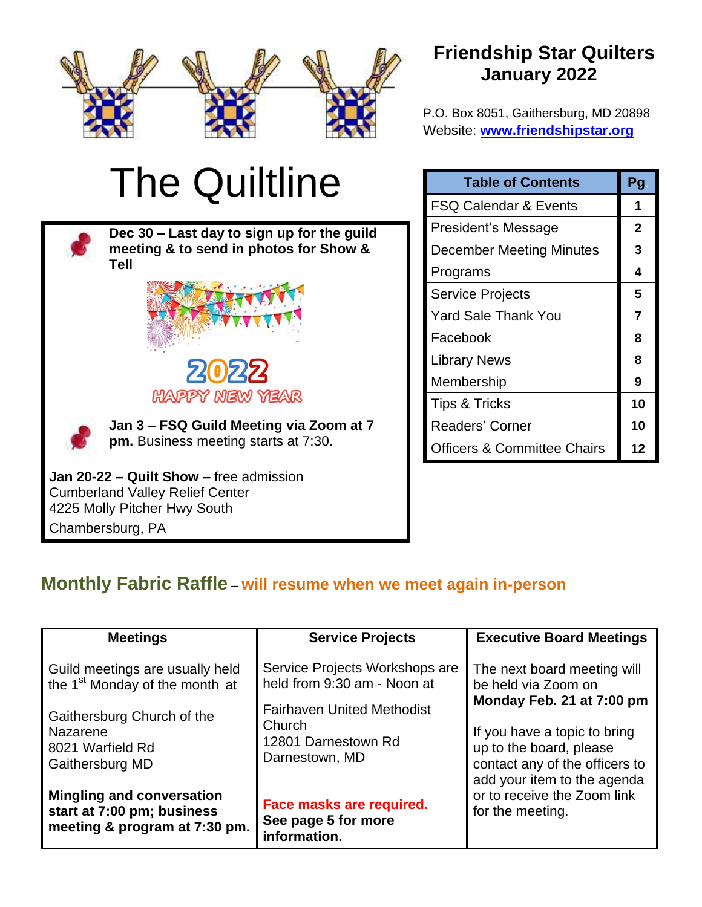

# **Friendship Star Quilters January 2022**

P.O. Box 8051, Gaithersburg, MD 20898 Website: **[www.friendshipstar.org](http://www.friendshipstar.org/)**

# The Quiltline

**Dec 30 – Last day to sign up for the guild meeting & to send in photos for Show & Tell**



**Jan 3 – FSQ Guild Meeting via Zoom at 7 pm.** Business meeting starts at 7:30.

**Jan 20-22 – Quilt Show –** free admission Cumberland Valley Relief Center 4225 Molly Pitcher Hwy South Chambersburg, PA

| <b>Table of Contents</b>               | Pg |
|----------------------------------------|----|
| <b>FSQ Calendar &amp; Events</b>       | 1  |
| President's Message                    | 2  |
| <b>December Meeting Minutes</b>        | 3  |
| Programs                               | 4  |
| <b>Service Projects</b>                | 5  |
| <b>Yard Sale Thank You</b>             | 7  |
| Facebook                               | 8  |
| <b>Library News</b>                    | 8  |
| Membership                             | 9  |
| <b>Tips &amp; Tricks</b>               | 10 |
| Readers' Corner                        | 10 |
| <b>Officers &amp; Committee Chairs</b> | 12 |

# **Monthly Fabric Raffle** – **will resume when we meet again in-person**

| <b>Meetings</b>                                                                                 | <b>Service Projects</b>                                                                            | <b>Executive Board Meetings</b>                                                                                          |                                                                                 |  |  |
|-------------------------------------------------------------------------------------------------|----------------------------------------------------------------------------------------------------|--------------------------------------------------------------------------------------------------------------------------|---------------------------------------------------------------------------------|--|--|
| Guild meetings are usually held<br>the 1 <sup>st</sup> Monday of the month at                   | Service Projects Workshops are<br>held from 9:30 am - Noon at<br><b>Fairhaven United Methodist</b> |                                                                                                                          | The next board meeting will<br>be held via Zoom on<br>Monday Feb. 21 at 7:00 pm |  |  |
| Gaithersburg Church of the<br>Nazarene<br>8021 Warfield Rd<br>Gaithersburg MD                   | Church<br>12801 Darnestown Rd<br>Darnestown, MD                                                    | If you have a topic to bring<br>up to the board, please<br>contact any of the officers to<br>add your item to the agenda |                                                                                 |  |  |
| <b>Mingling and conversation</b><br>start at 7:00 pm; business<br>meeting & program at 7:30 pm. | Face masks are required.<br>See page 5 for more<br>information.                                    | or to receive the Zoom link<br>for the meeting.                                                                          |                                                                                 |  |  |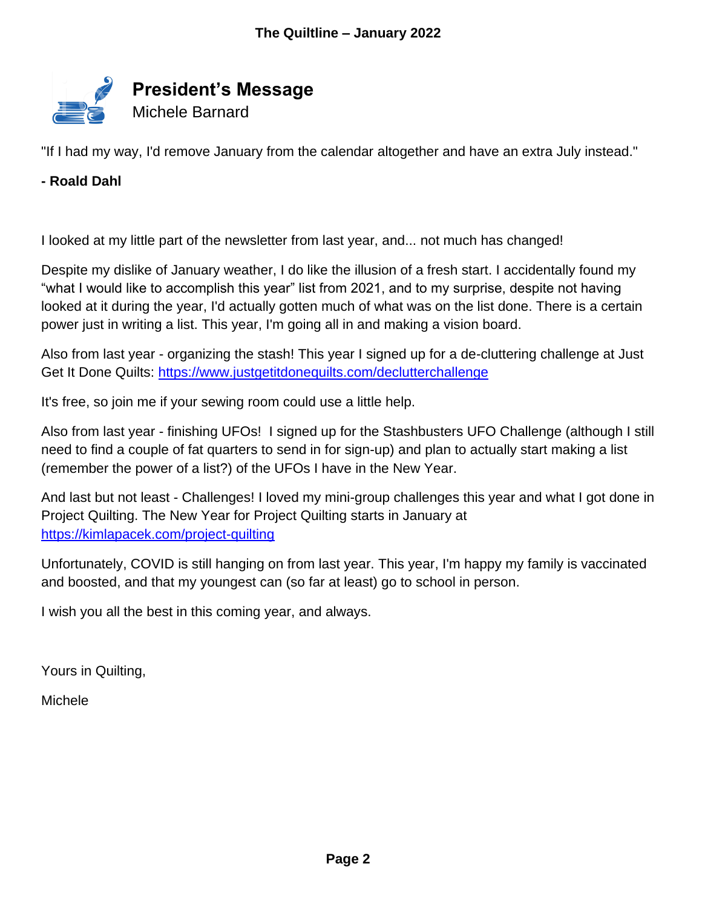

"If I had my way, I'd remove January from the calendar altogether and have an extra July instead."

## **- Roald Dahl**

I looked at my little part of the newsletter from last year, and... not much has changed!

Despite my dislike of January weather, I do like the illusion of a fresh start. I accidentally found my "what I would like to accomplish this year" list from 2021, and to my surprise, despite not having looked at it during the year, I'd actually gotten much of what was on the list done. There is a certain power just in writing a list. This year, I'm going all in and making a vision board.

Also from last year - organizing the stash! This year I signed up for a de-cluttering challenge at Just Get It Done Quilts:<https://www.justgetitdonequilts.com/declutterchallenge>

It's free, so join me if your sewing room could use a little help.

Also from last year - finishing UFOs! I signed up for the Stashbusters UFO Challenge (although I still need to find a couple of fat quarters to send in for sign-up) and plan to actually start making a list (remember the power of a list?) of the UFOs I have in the New Year.

And last but not least - Challenges! I loved my mini-group challenges this year and what I got done in Project Quilting. The New Year for Project Quilting starts in January at <https://kimlapacek.com/project-quilting>

Unfortunately, COVID is still hanging on from last year. This year, I'm happy my family is vaccinated and boosted, and that my youngest can (so far at least) go to school in person.

I wish you all the best in this coming year, and always.

Yours in Quilting,

Michele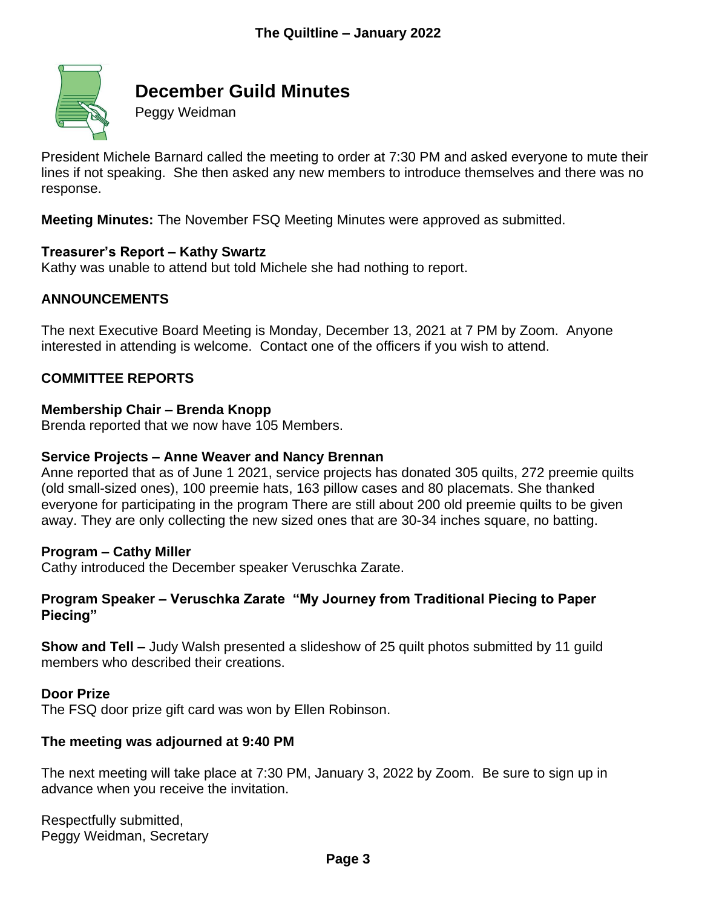

# **December Guild Minutes**

Peggy Weidman

President Michele Barnard called the meeting to order at 7:30 PM and asked everyone to mute their lines if not speaking. She then asked any new members to introduce themselves and there was no response.

**Meeting Minutes:** The November FSQ Meeting Minutes were approved as submitted.

#### **Treasurer's Report – Kathy Swartz**

Kathy was unable to attend but told Michele she had nothing to report.

#### **ANNOUNCEMENTS**

The next Executive Board Meeting is Monday, December 13, 2021 at 7 PM by Zoom. Anyone interested in attending is welcome. Contact one of the officers if you wish to attend.

#### **COMMITTEE REPORTS**

#### **Membership Chair – Brenda Knopp**

Brenda reported that we now have 105 Members.

#### **Service Projects – Anne Weaver and Nancy Brennan**

Anne reported that as of June 1 2021, service projects has donated 305 quilts, 272 preemie quilts (old small-sized ones), 100 preemie hats, 163 pillow cases and 80 placemats. She thanked everyone for participating in the program There are still about 200 old preemie quilts to be given away. They are only collecting the new sized ones that are 30-34 inches square, no batting.

#### **Program – Cathy Miller**

Cathy introduced the December speaker Veruschka Zarate.

#### **Program Speaker – Veruschka Zarate "My Journey from Traditional Piecing to Paper Piecing"**

**Show and Tell –** Judy Walsh presented a slideshow of 25 quilt photos submitted by 11 guild members who described their creations.

#### **Door Prize**

The FSQ door prize gift card was won by Ellen Robinson.

#### **The meeting was adjourned at 9:40 PM**

The next meeting will take place at 7:30 PM, January 3, 2022 by Zoom. Be sure to sign up in advance when you receive the invitation.

Respectfully submitted, Peggy Weidman, Secretary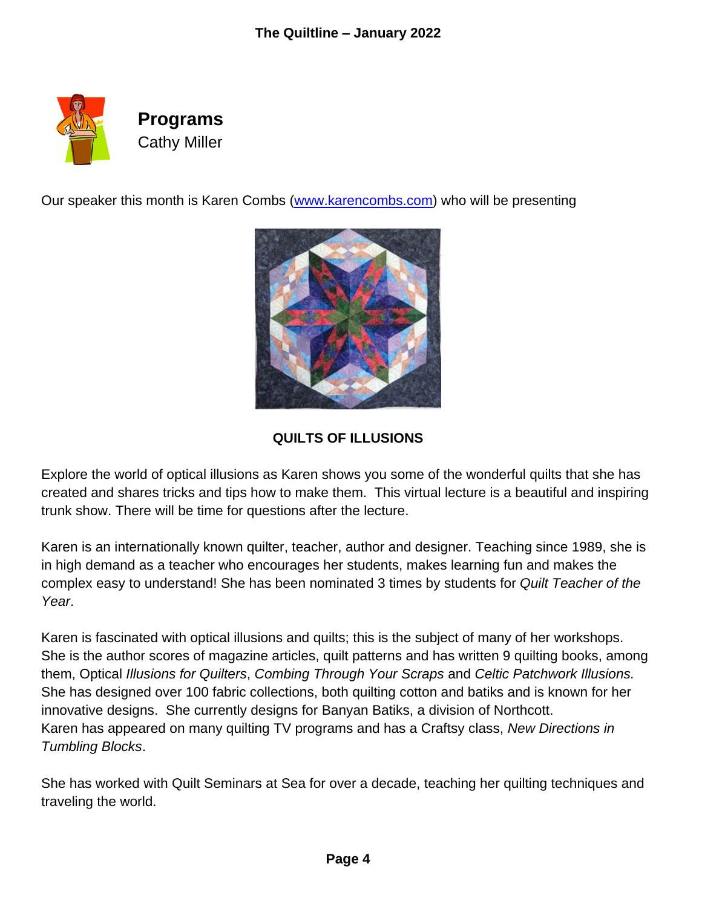

Our speaker this month is Karen Combs [\(www.karencombs.com\)](http://www.karencombs.com/) who will be presenting



**QUILTS OF ILLUSIONS** 

Explore the world of optical illusions as Karen shows you some of the wonderful quilts that she has created and shares tricks and tips how to make them. This virtual lecture is a beautiful and inspiring trunk show. There will be time for questions after the lecture.

Karen is an internationally known quilter, teacher, author and designer. Teaching since 1989, she is in high demand as a teacher who encourages her students, makes learning fun and makes the complex easy to understand! She has been nominated 3 times by students for *Quilt Teacher of the Year*.

Karen is fascinated with optical illusions and quilts; this is the subject of many of her workshops. She is the author scores of magazine articles, quilt patterns and has written 9 quilting books, among them, Optical *Illusions for Quilters*, *Combing Through Your Scraps* and *Celtic Patchwork Illusions.* She has designed over 100 fabric collections, both quilting cotton and batiks and is known for her innovative designs. She currently designs for Banyan Batiks, a division of Northcott. Karen has appeared on many quilting TV programs and has a Craftsy class, *New Directions in Tumbling Blocks*.

She has worked with Quilt Seminars at Sea for over a decade, teaching her quilting techniques and traveling the world.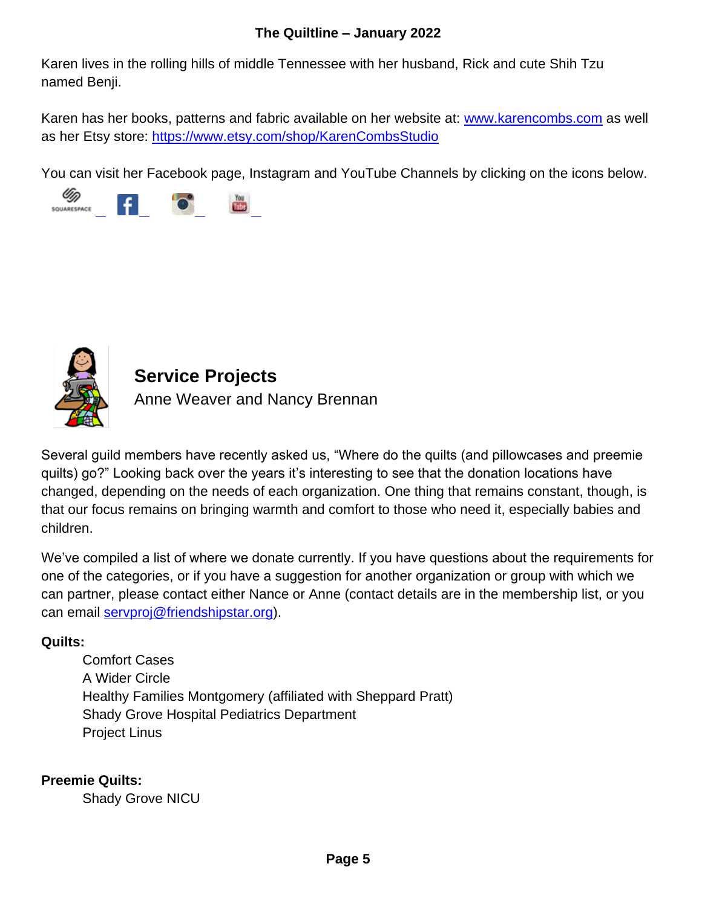## **The Quiltline – January 2022**

Karen lives in the rolling hills of middle Tennessee with her husband, Rick and cute Shih Tzu named Benji.

Karen has her books, patterns and fabric available on her website at: [www.karencombs.com](http://www.karencombs.com/) as well as her Etsy store:<https://www.etsy.com/shop/KarenCombsStudio>

You can visit her Facebook page, Instagram and YouTube Channels by clicking on the icons below.





# **Service Projects**

Anne Weaver and Nancy Brennan

Several guild members have recently asked us, "Where do the quilts (and pillowcases and preemie quilts) go?" Looking back over the years it's interesting to see that the donation locations have changed, depending on the needs of each organization. One thing that remains constant, though, is that our focus remains on bringing warmth and comfort to those who need it, especially babies and children.

We've compiled a list of where we donate currently. If you have questions about the requirements for one of the categories, or if you have a suggestion for another organization or group with which we can partner, please contact either Nance or Anne (contact details are in the membership list, or you can email [servproj@friendshipstar.org\)](mailto:servproj@friendshipstar.org).

# **Quilts:**

Comfort Cases A Wider Circle Healthy Families Montgomery (affiliated with Sheppard Pratt) Shady Grove Hospital Pediatrics Department Project Linus

# **Preemie Quilts:**

Shady Grove NICU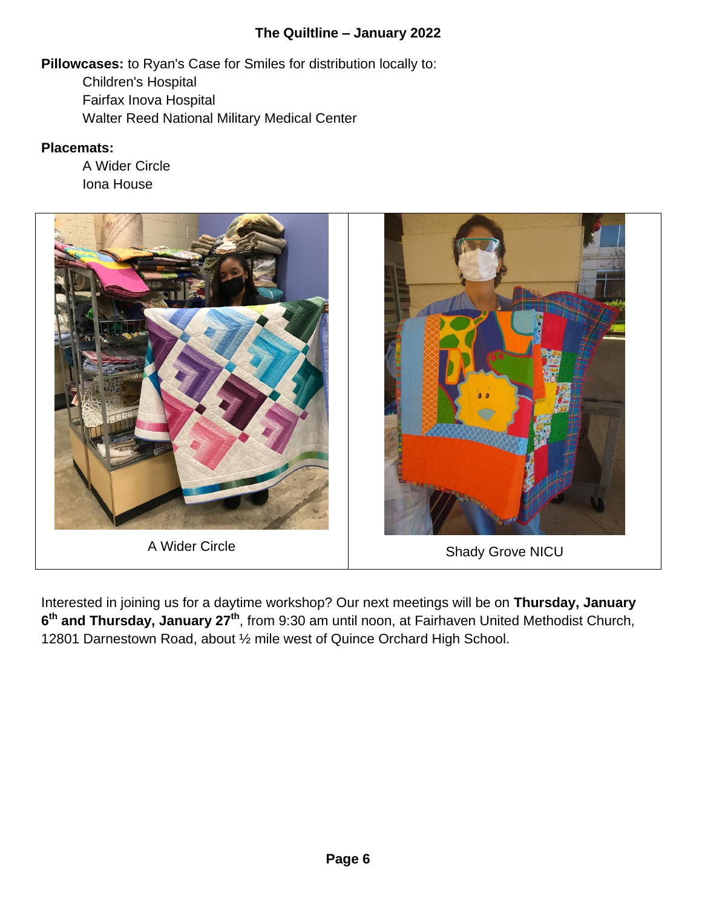## **The Quiltline – January 2022**

**Pillowcases:** to Ryan's Case for Smiles for distribution locally to: Children's Hospital

Fairfax Inova Hospital Walter Reed National Military Medical Center

## **Placemats:**

A Wider Circle Iona House



Interested in joining us for a daytime workshop? Our next meetings will be on **Thursday, January 6 th and Thursday, January 27th**, from 9:30 am until noon, at Fairhaven United Methodist Church, 12801 Darnestown Road, about ½ mile west of Quince Orchard High School.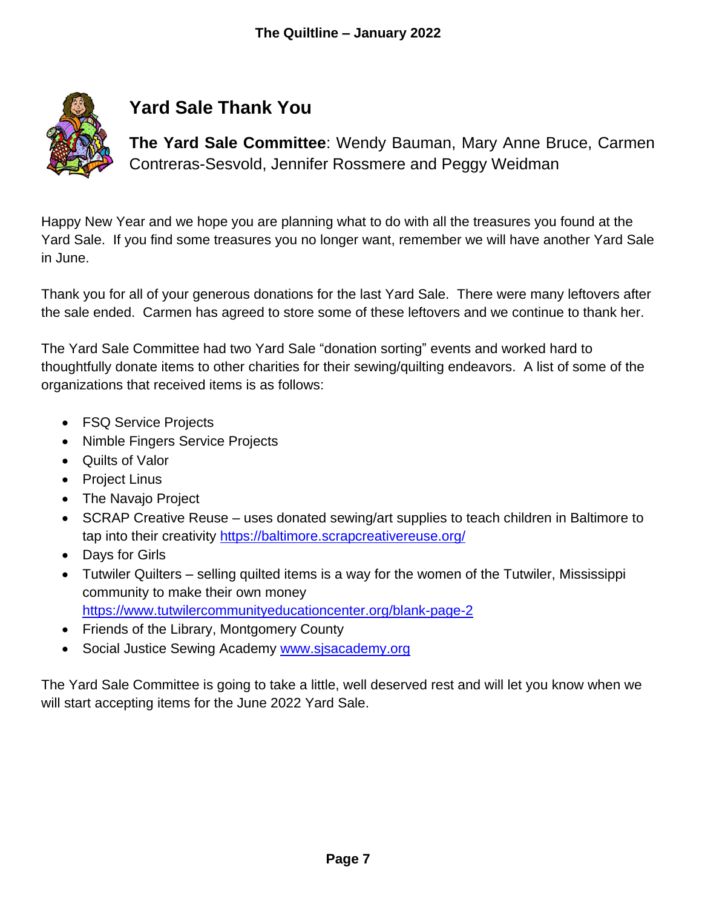

# **Yard Sale Thank You**

**The Yard Sale Committee**: Wendy Bauman, Mary Anne Bruce, Carmen Contreras-Sesvold, Jennifer Rossmere and Peggy Weidman

Happy New Year and we hope you are planning what to do with all the treasures you found at the Yard Sale. If you find some treasures you no longer want, remember we will have another Yard Sale in June.

Thank you for all of your generous donations for the last Yard Sale. There were many leftovers after the sale ended. Carmen has agreed to store some of these leftovers and we continue to thank her.

The Yard Sale Committee had two Yard Sale "donation sorting" events and worked hard to thoughtfully donate items to other charities for their sewing/quilting endeavors. A list of some of the organizations that received items is as follows:

- FSQ Service Projects
- Nimble Fingers Service Projects
- Quilts of Valor
- Project Linus
- The Navajo Project
- SCRAP Creative Reuse uses donated sewing/art supplies to teach children in Baltimore to tap into their creativity<https://baltimore.scrapcreativereuse.org/>
- Days for Girls
- Tutwiler Quilters selling quilted items is a way for the women of the Tutwiler, Mississippi community to make their own money <https://www.tutwilercommunityeducationcenter.org/blank-page-2>
- Friends of the Library, Montgomery County
- Social Justice Sewing Academy [www.sjsacademy.org](http://www.sjsacademy.org/)

The Yard Sale Committee is going to take a little, well deserved rest and will let you know when we will start accepting items for the June 2022 Yard Sale.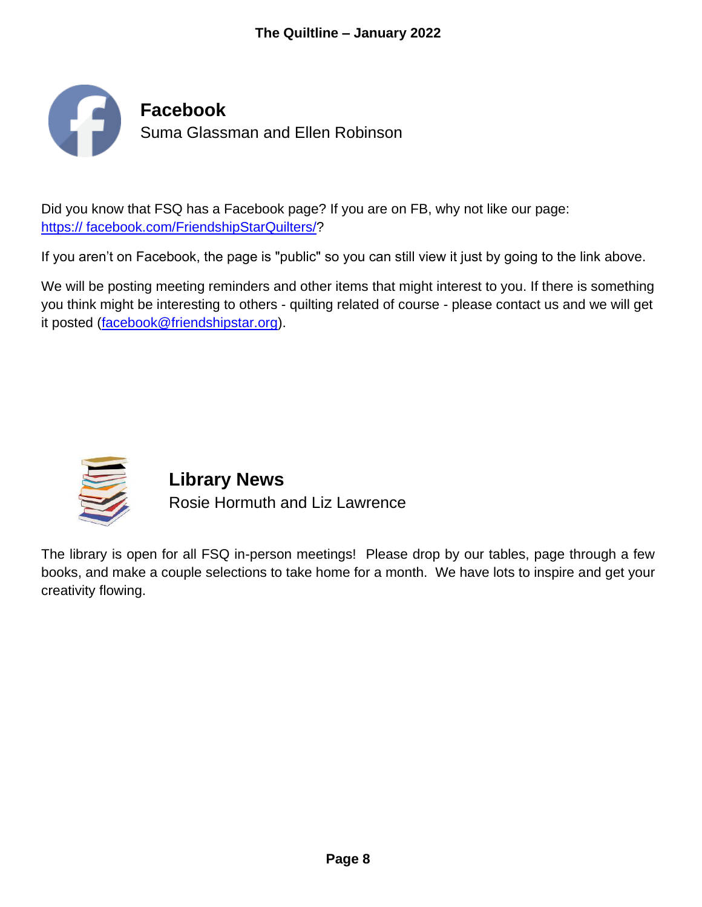

Did you know that FSQ has a Facebook page? If you are on FB, why not like our page: [https:// facebook.com/FriendshipStarQuilters/?](http://www.facebook.com/FriendshipStarQuilters/)

If you aren't on Facebook, the page is "public" so you can still view it just by going to the link above.

We will be posting meeting reminders and other items that might interest to you. If there is something you think might be interesting to others - quilting related of course - please contact us and we will get it posted [\(facebook@friendshipstar.org\)](mailto:facebook@friendshipstar.org).



**Library News** Rosie Hormuth and Liz Lawrence

The library is open for all FSQ in-person meetings! Please drop by our tables, page through a few books, and make a couple selections to take home for a month. We have lots to inspire and get your creativity flowing.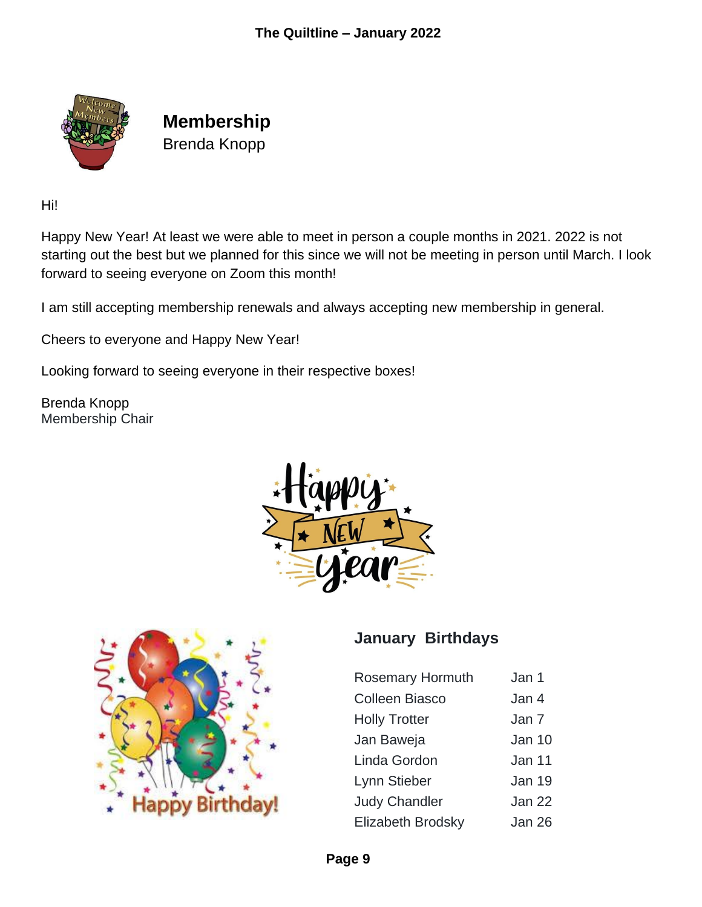

**Membership** Brenda Knopp

Hi!

Happy New Year! At least we were able to meet in person a couple months in 2021. 2022 is not starting out the best but we planned for this since we will not be meeting in person until March. I look forward to seeing everyone on Zoom this month!

I am still accepting membership renewals and always accepting new membership in general.

Cheers to everyone and Happy New Year!

Looking forward to seeing everyone in their respective boxes!

Brenda Knopp Membership Chair





# **January Birthdays**

| <b>Rosemary Hormuth</b>  | Jan 1  |
|--------------------------|--------|
| Colleen Biasco           | Jan 4  |
| <b>Holly Trotter</b>     | Jan 7  |
| Jan Baweja               | Jan 10 |
| Linda Gordon             | Jan 11 |
| Lynn Stieber             | Jan 19 |
| <b>Judy Chandler</b>     | Jan 22 |
| <b>Elizabeth Brodsky</b> | Jan 26 |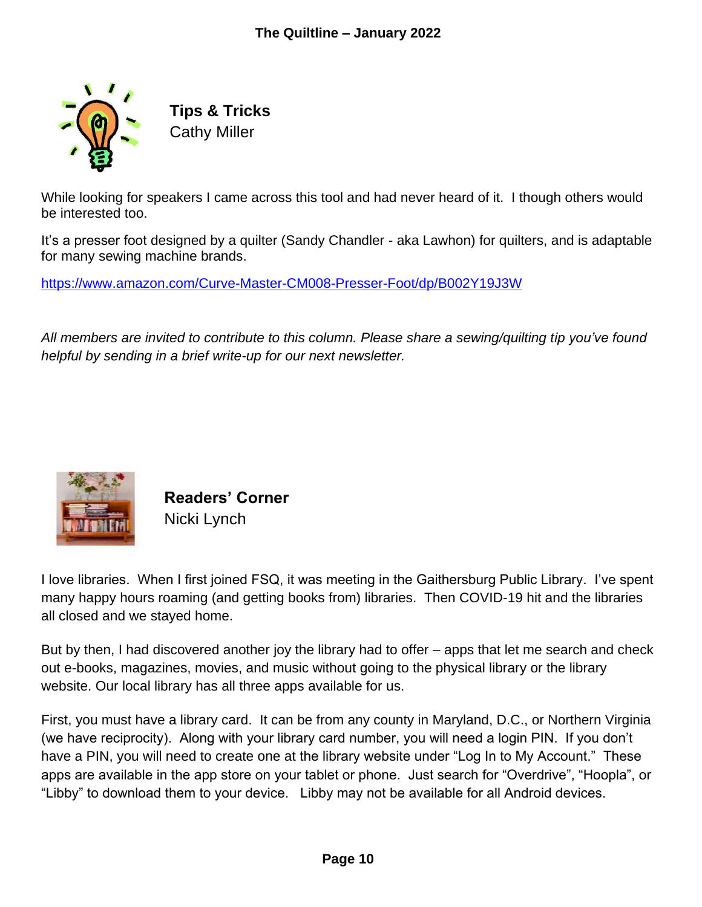

**Tips & Tricks** Cathy Miller

While looking for speakers I came across this tool and had never heard of it. I though others would be interested too.

It's a presser foot designed by a quilter (Sandy Chandler - aka Lawhon) for quilters, and is adaptable for many sewing machine brands.

<https://www.amazon.com/Curve-Master-CM008-Presser-Foot/dp/B002Y19J3W>

*All members are invited to contribute to this column. Please share a sewing/quilting tip you've found helpful by sending in a brief write-up for our next newsletter.*



**Readers' Corner** Nicki Lynch

I love libraries. When I first joined FSQ, it was meeting in the Gaithersburg Public Library. I've spent many happy hours roaming (and getting books from) libraries. Then COVID-19 hit and the libraries all closed and we stayed home.

But by then, I had discovered another joy the library had to offer – apps that let me search and check out e-books, magazines, movies, and music without going to the physical library or the library website. Our local library has all three apps available for us.

First, you must have a library card. It can be from any county in Maryland, D.C., or Northern Virginia (we have reciprocity). Along with your library card number, you will need a login PIN. If you don't have a PIN, you will need to create one at the library website under "Log In to My Account." These apps are available in the app store on your tablet or phone. Just search for "Overdrive", "Hoopla", or "Libby" to download them to your device. Libby may not be available for all Android devices.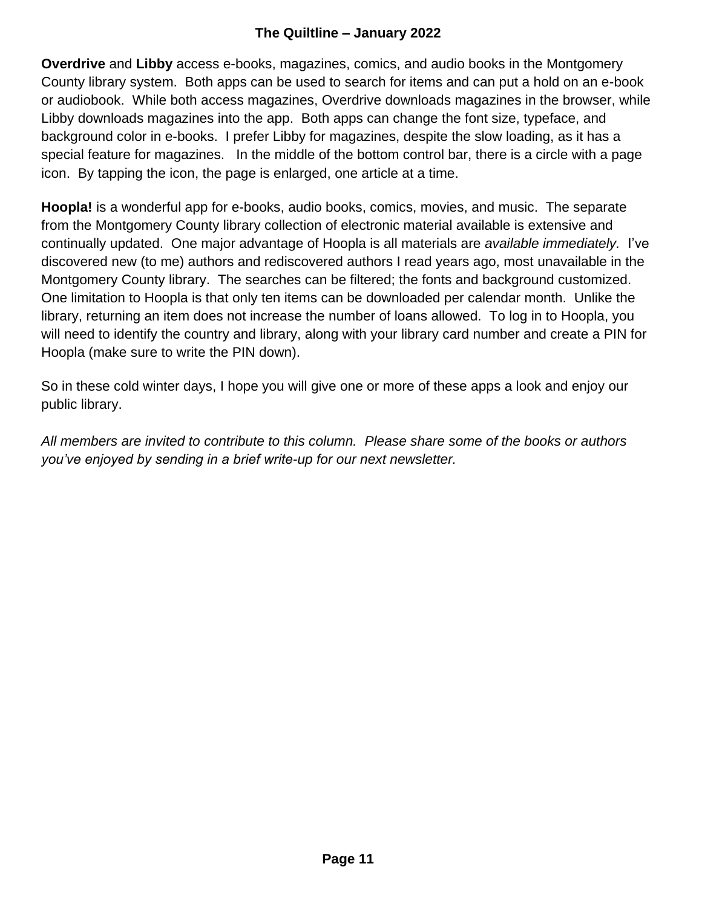## **The Quiltline – January 2022**

**Overdrive** and **Libby** access e-books, magazines, comics, and audio books in the Montgomery County library system. Both apps can be used to search for items and can put a hold on an e-book or audiobook. While both access magazines, Overdrive downloads magazines in the browser, while Libby downloads magazines into the app. Both apps can change the font size, typeface, and background color in e-books. I prefer Libby for magazines, despite the slow loading, as it has a special feature for magazines. In the middle of the bottom control bar, there is a circle with a page icon. By tapping the icon, the page is enlarged, one article at a time.

**Hoopla!** is a wonderful app for e-books, audio books, comics, movies, and music. The separate from the Montgomery County library collection of electronic material available is extensive and continually updated. One major advantage of Hoopla is all materials are *available immediately.* I've discovered new (to me) authors and rediscovered authors I read years ago, most unavailable in the Montgomery County library. The searches can be filtered; the fonts and background customized. One limitation to Hoopla is that only ten items can be downloaded per calendar month. Unlike the library, returning an item does not increase the number of loans allowed. To log in to Hoopla, you will need to identify the country and library, along with your library card number and create a PIN for Hoopla (make sure to write the PIN down).

So in these cold winter days, I hope you will give one or more of these apps a look and enjoy our public library.

*All members are invited to contribute to this column. Please share some of the books or authors you've enjoyed by sending in a brief write-up for our next newsletter.*